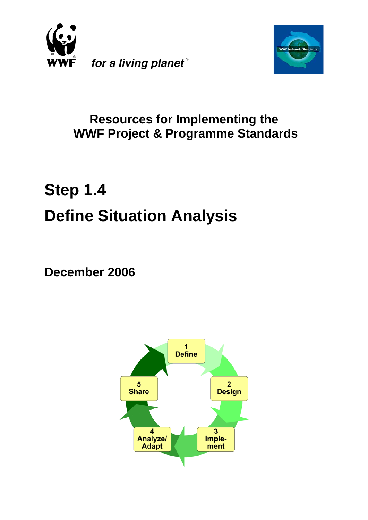



# **Resources for Implementing the WWF Project & Programme Standards**

# **Step 1.4 Define Situation Analysis**

**December 2006**

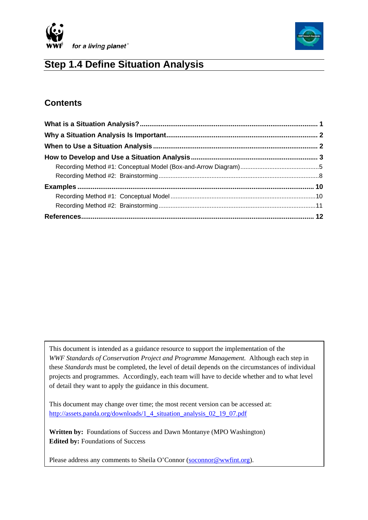



# **Step 1.4 Define Situation Analysis**

# **Contents**

This document is intended as a guidance resource to support the implementation of the *WWF Standards of Conservation Project and Programme Management.* Although each step in these *Standards* must be completed, the level of detail depends on the circumstances of individual projects and programmes. Accordingly, each team will have to decide whether and to what level of detail they want to apply the guidance in this document.

This document may change over time; the most recent version can be accessed at: http://assets.panda.org/downloads/1\_4\_situation\_analysis\_02\_19\_07.pdf

**Written by:** Foundations of Success and Dawn Montanye (MPO Washington) **Edited by:** Foundations of Success

Please address any comments to Sheila O'Connor (soconnor@wwfint.org).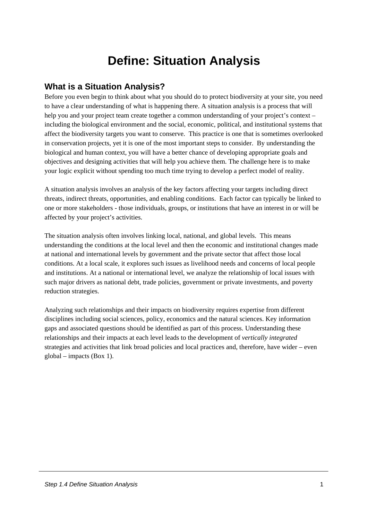# **Define: Situation Analysis**

# <span id="page-2-0"></span>**What is a Situation Analysis?**

Before you even begin to think about what you should do to protect biodiversity at your site, you need to have a clear understanding of what is happening there. A situation analysis is a process that will help you and your project team create together a common understanding of your project's context – including the biological environment and the social, economic, political, and institutional systems that affect the biodiversity targets you want to conserve. This practice is one that is sometimes overlooked in conservation projects, yet it is one of the most important steps to consider. By understanding the biological and human context, you will have a better chance of developing appropriate goals and objectives and designing activities that will help you achieve them. The challenge here is to make your logic explicit without spending too much time trying to develop a perfect model of reality.

A situation analysis involves an analysis of the key factors affecting your targets including direct threats, indirect threats, opportunities, and enabling conditions. Each factor can typically be linked to one or more stakeholders - those individuals, groups, or institutions that have an interest in or will be affected by your project's activities.

The situation analysis often involves linking local, national, and global levels. This means understanding the conditions at the local level and then the economic and institutional changes made at national and international levels by government and the private sector that affect those local conditions. At a local scale, it explores such issues as livelihood needs and concerns of local people and institutions. At a national or international level, we analyze the relationship of local issues with such major drivers as national debt, trade policies, government or private investments, and poverty reduction strategies.

Analyzing such relationships and their impacts on biodiversity requires expertise from different disciplines including social sciences, policy, economics and the natural sciences. Key information gaps and associated questions should be identified as part of this process. Understanding these relationships and their impacts at each level leads to the development of *vertically integrated* strategies and activities that link broad policies and local practices and, therefore, have wider – even global – impacts (Box 1).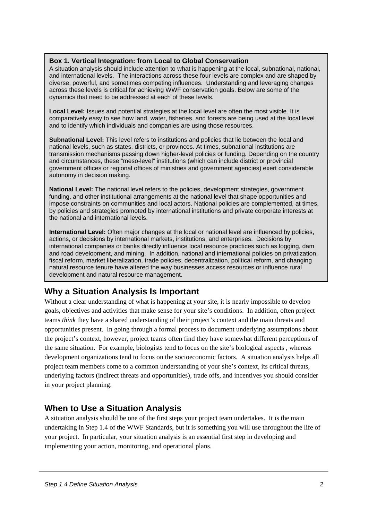#### <span id="page-3-0"></span>**Box 1. Vertical Integration: from Local to Global Conservation**

A situation analysis should include attention to what is happening at the local, subnational, national, and international levels. The interactions across these four levels are complex and are shaped by diverse, powerful, and sometimes competing influences. Understanding and leveraging changes across these levels is critical for achieving WWF conservation goals. Below are some of the dynamics that need to be addressed at each of these levels.

**Local Level:** Issues and potential strategies at the local level are often the most visible. It is comparatively easy to see how land, water, fisheries, and forests are being used at the local level and to identify which individuals and companies are using those resources.

**Subnational Level:** This level refers to institutions and policies that lie between the local and national levels, such as states, districts, or provinces. At times, subnational institutions are transmission mechanisms passing down higher-level policies or funding. Depending on the country and circumstances, these "meso-level" institutions (which can include district or provincial government offices or regional offices of ministries and government agencies) exert considerable autonomy in decision making.

**National Level:** The national level refers to the policies, development strategies, government funding, and other institutional arrangements at the national level that shape opportunities and impose constraints on communities and local actors. National policies are complemented, at times, by policies and strategies promoted by international institutions and private corporate interests at the national and international levels.

**International Level:** Often major changes at the local or national level are influenced by policies, actions, or decisions by international markets, institutions, and enterprises. Decisions by international companies or banks directly influence local resource practices such as logging, dam and road development, and mining. In addition, national and international policies on privatization, fiscal reform, market liberalization, trade policies, decentralization, political reform, and changing natural resource tenure have altered the way businesses access resources or influence rural development and natural resource management.

# **Why a Situation Analysis Is Important**

Without a clear understanding of what is happening at your site, it is nearly impossible to develop goals, objectives and activities that make sense for your site's conditions. In addition, often project teams *think* they have a shared understanding of their project's context and the main threats and opportunities present. In going through a formal process to document underlying assumptions about the project's context, however, project teams often find they have somewhat different perceptions of the same situation. For example, biologists tend to focus on the site's biological aspects , whereas development organizations tend to focus on the socioeconomic factors. A situation analysis helps all project team members come to a common understanding of your site's context, its critical threats, underlying factors (indirect threats and opportunities), trade offs, and incentives you should consider in your project planning.

# **When to Use a Situation Analysis**

A situation analysis should be one of the first steps your project team undertakes. It is the main undertaking in Step 1.4 of the WWF Standards, but it is something you will use throughout the life of your project. In particular, your situation analysis is an essential first step in developing and implementing your action, monitoring, and operational plans.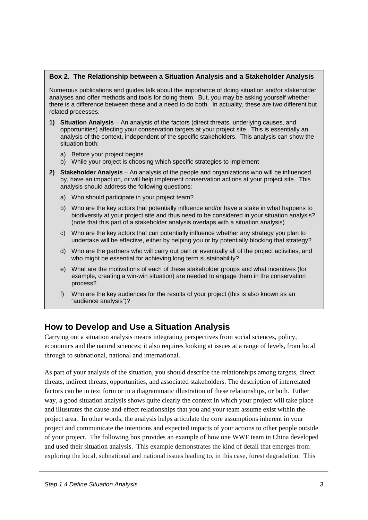#### <span id="page-4-0"></span>**Box 2. The Relationship between a Situation Analysis and a Stakeholder Analysis**

Numerous publications and guides talk about the importance of doing situation and/or stakeholder analyses and offer methods and tools for doing them. But, you may be asking yourself whether there is a difference between these and a need to do both. In actuality, these are two different but related processes.

- **1) Situation Analysis** An analysis of the factors (direct threats, underlying causes, and opportunities) affecting your conservation targets at your project site. This is essentially an analysis of the context, independent of the specific stakeholders. This analysis can show the situation both:
	- a) Before your project begins
	- b) While your project is choosing which specific strategies to implement
- **2) Stakeholder Analysis** An analysis of the people and organizations who will be influenced by, have an impact on, or will help implement conservation actions at your project site. This analysis should address the following questions:
	- a) Who should participate in your project team?
	- b) Who are the key actors that potentially influence and/or have a stake in what happens to biodiversity at your project site and thus need to be considered in your situation analysis? (note that this part of a stakeholder analysis overlaps with a situation analysis)
	- c) Who are the key actors that can potentially influence whether any strategy you plan to undertake will be effective, either by helping you or by potentially blocking that strategy?
	- d) Who are the partners who will carry out part or eventually all of the project activities, and who might be essential for achieving long term sustainability?
	- e) What are the motivations of each of these stakeholder groups and what incentives (for example, creating a win-win situation) are needed to engage them in the conservation process?
	- f) Who are the key audiences for the results of your project (this is also known as an "audience analysis")?

# **How to Develop and Use a Situation Analysis**

Carrying out a situation analysis means integrating perspectives from social sciences, policy, economics and the natural sciences; it also requires looking at issues at a range of levels, from local through to subnational, national and international.

As part of your analysis of the situation, you should describe the relationships among targets, direct threats, indirect threats, opportunities, and associated stakeholders. The description of interrelated factors can be in text form or in a diagrammatic illustration of these relationships, or both. Either way, a good situation analysis shows quite clearly the context in which your project will take place and illustrates the cause-and-effect relationships that you and your team assume exist within the project area. In other words, the analysis helps articulate the core assumptions inherent in your project and communicate the intentions and expected impacts of your actions to other people outside of your project. The following box provides an example of how one WWF team in China developed and used their situation analysis. This example demonstrates the kind of detail that emerges from exploring the local, subnational and national issues leading to, in this case, forest degradation. This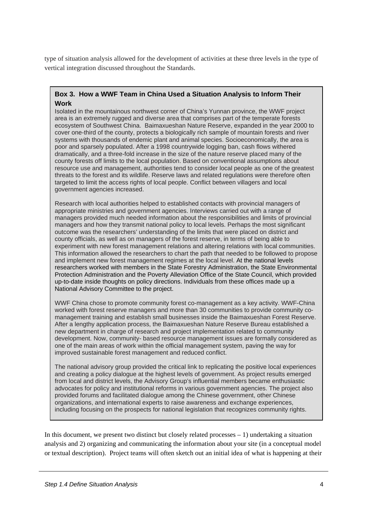type of situation analysis allowed for the development of activities at these three levels in the type of vertical integration discussed throughout the Standards.

#### **Box 3. How a WWF Team in China Used a Situation Analysis to Inform Their Work**

Isolated in the mountainous northwest corner of China's Yunnan province, the WWF project area is an extremely rugged and diverse area that comprises part of the temperate forests ecosystem of Southwest China. Baimaxueshan Nature Reserve, expanded in the year 2000 to cover one-third of the county, protects a biologically rich sample of mountain forests and river systems with thousands of endemic plant and animal species. Socioeconomically, the area is poor and sparsely populated. After a 1998 countrywide logging ban, cash flows withered dramatically, and a three-fold increase in the size of the nature reserve placed many of the county forests off limits to the local population. Based on conventional assumptions about resource use and management, authorities tend to consider local people as one of the greatest threats to the forest and its wildlife. Reserve laws and related regulations were therefore often targeted to limit the access rights of local people. Conflict between villagers and local government agencies increased.

Research with local authorities helped to established contacts with provincial managers of appropriate ministries and government agencies. Interviews carried out with a range of managers provided much needed information about the responsibilities and limits of provincial managers and how they transmit national policy to local levels. Perhaps the most significant outcome was the researchers' understanding of the limits that were placed on district and county officials, as well as on managers of the forest reserve, in terms of being able to experiment with new forest management relations and altering relations with local communities. This information allowed the researchers to chart the path that needed to be followed to propose and implement new forest management regimes at the local level. At the national levels researchers worked with members in the State Forestry Administration, the State Environmental Protection Administration and the Poverty Alleviation Office of the State Council, which provided up-to-date inside thoughts on policy directions. Individuals from these offices made up a National Advisory Committee to the project.

WWF China chose to promote community forest co-management as a key activity. WWF-China worked with forest reserve managers and more than 30 communities to provide community comanagement training and establish small businesses inside the Baimaxueshan Forest Reserve. After a lengthy application process, the Baimaxueshan Nature Reserve Bureau established a new department in charge of research and project implementation related to community development. Now, community- based resource management issues are formally considered as one of the main areas of work within the official management system, paving the way for improved sustainable forest management and reduced conflict.

The national advisory group provided the critical link to replicating the positive local experiences and creating a policy dialogue at the highest levels of government. As project results emerged from local and district levels, the Advisory Group's influential members became enthusiastic advocates for policy and institutional reforms in various government agencies. The project also provided forums and facilitated dialogue among the Chinese government, other Chinese organizations, and international experts to raise awareness and exchange experiences, including focusing on the prospects for national legislation that recognizes community rights.

In this document, we present two distinct but closely related processes  $-1$ ) undertaking a situation analysis and 2) organizing and communicating the information about your site (in a conceptual model or textual description). Project teams will often sketch out an initial idea of what is happening at their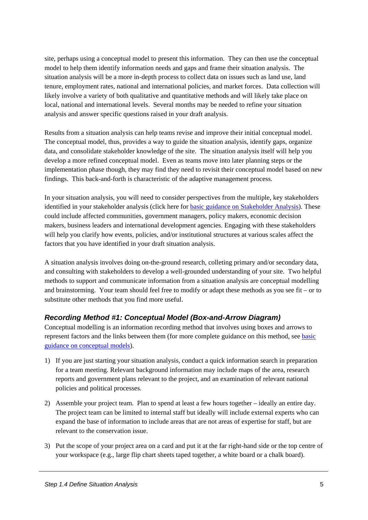<span id="page-6-0"></span>site, perhaps using a conceptual model to present this information. They can then use the conceptual model to help them identify information needs and gaps and frame their situation analysis. The situation analysis will be a more in-depth process to collect data on issues such as land use, land tenure, employment rates, national and international policies, and market forces. Data collection will likely involve a variety of both qualitative and quantitative methods and will likely take place on local, national and international levels. Several months may be needed to refine your situation analysis and answer specific questions raised in your draft analysis.

Results from a situation analysis can help teams revise and improve their initial conceptual model. The conceptual model, thus, provides a way to guide the situation analysis, identify gaps, organize data, and consolidate stakeholder knowledge of the site. The situation analysis itself will help you develop a more refined conceptual model. Even as teams move into later planning steps or the implementation phase though, they may find they need to revisit their conceptual model based on new findings. This back-and-forth is characteristic of the adaptive management process.

In your situation analysis, you will need to consider perspectives from the multiple, key stakeholders identified in your stakeholder analysis (click here for [basic guidance on Stakeholder Analysis](http://assets.panda.org/downloads/1_1_stakeholder_analysis_11_01_05.pdf)). These could include affected communities, government managers, policy makers, economic decision makers, business leaders and international development agencies. Engaging with these stakeholders will help you clarify how events, policies, and/or institutional structures at various scales affect the factors that you have identified in your draft situation analysis.

A situation analysis involves doing on-the-ground research, colleting primary and/or secondary data, and consulting with stakeholders to develop a well-grounded understanding of your site. Two helpful methods to support and communicate information from a situation analysis are conceptual modelling and brainstorming. Your team should feel free to modify or adapt these methods as you see fit – or to substitute other methods that you find more useful.

## *Recording Method #1: Conceptual Model (Box-and-Arrow Diagram)*

Conceptual modelling is an information recording method that involves using boxes and arrows to represent factors and the links between them (for more complete guidance on this method, see [basic](http://assets.panda.org/downloads/1_4_conceptual_model_11_08_05.pdf)  [guidance on conceptual models](http://assets.panda.org/downloads/1_4_conceptual_model_11_08_05.pdf)).

- 1) If you are just starting your situation analysis, conduct a quick information search in preparation for a team meeting. Relevant background information may include maps of the area, research reports and government plans relevant to the project, and an examination of relevant national policies and political processes.
- 2) Assemble your project team. Plan to spend at least a few hours together ideally an entire day. The project team can be limited to internal staff but ideally will include external experts who can expand the base of information to include areas that are not areas of expertise for staff, but are relevant to the conservation issue.
- 3) Put the scope of your project area on a card and put it at the far right-hand side or the top centre of your workspace (e.g., large flip chart sheets taped together, a white board or a chalk board).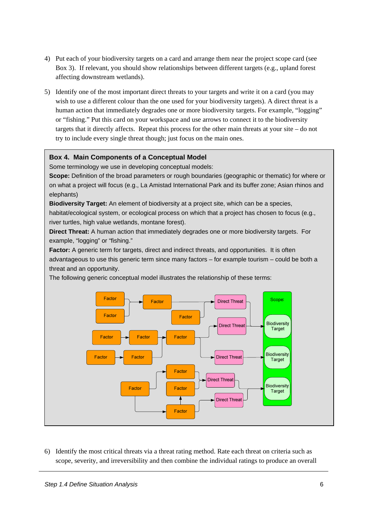- 4) Put each of your biodiversity targets on a card and arrange them near the project scope card (see Box 3). If relevant, you should show relationships between different targets (e.g., upland forest affecting downstream wetlands).
- 5) Identify one of the most important direct threats to your targets and write it on a card (you may wish to use a different colour than the one used for your biodiversity targets). A direct threat is a human action that immediately degrades one or more biodiversity targets. For example, "logging" or "fishing." Put this card on your workspace and use arrows to connect it to the biodiversity targets that it directly affects. Repeat this process for the other main threats at your site – do not try to include every single threat though; just focus on the main ones.

#### **Box 4. Main Components of a Conceptual Model**

Some terminology we use in developing conceptual models:

**Scope:** Definition of the broad parameters or rough boundaries (geographic or thematic) for where or on what a project will focus (e.g., La Amistad International Park and its buffer zone; Asian rhinos and elephants)

**Biodiversity Target:** An element of biodiversity at a project site, which can be a species, habitat/ecological system, or ecological process on which that a project has chosen to focus (e.g., river turtles, high value wetlands, montane forest).

**Direct Threat:** A human action that immediately degrades one or more biodiversity targets. For example, "logging" or "fishing."

**Factor:** A generic term for targets, direct and indirect threats, and opportunities. It is often advantageous to use this generic term since many factors – for example tourism – could be both a threat and an opportunity.

The following generic conceptual model illustrates the relationship of these terms:



6) Identify the most critical threats via a threat rating method. Rate each threat on criteria such as scope, severity, and irreversibility and then combine the individual ratings to produce an overall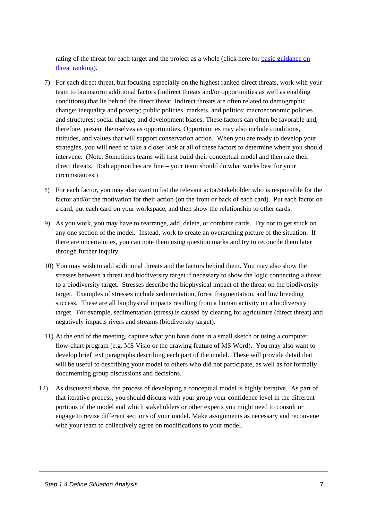[rating of the threat for each target and the project as a whole \(click here for basic guidance on](http://assets.panda.org/downloads/1_4_threat_ranking___july_13__2007.pdf)  threat ranking).

- 7) For each direct threat, but focusing especially on the highest ranked direct threats, work with your team to brainstorm additional factors (indirect threats and/or opportunities as well as enabling conditions) that lie behind the direct threat. Indirect threats are often related to demographic change; inequality and poverty; public policies, markets, and politics; macroeconomic policies and structures; social change; and development biases. These factors can often be favorable and, therefore, present themselves as opportunities. Opportunities may also include conditions, attitudes, and values that will support conservation action. When you are ready to develop your strategies, you will need to take a closer look at all of these factors to determine where you should intervene. (Note: Sometimes teams will first build their conceptual model and then rate their direct threats. Both approaches are fine – your team should do what works best for your circumstances.)
- 8) For each factor, you may also want to list the relevant actor/stakeholder who is responsible for the factor and/or the motivation for their action (on the front or back of each card). Put each factor on a card, put each card on your workspace, and then show the relationship to other cards.
- 9) As you work, you may have to rearrange, add, delete, or combine cards. Try not to get stuck on any one section of the model. Instead, work to create an overarching picture of the situation. If there are uncertainties, you can note them using question marks and try to reconcile them later through further inquiry.
- 10) You may wish to add additional threats and the factors behind them. You may also show the stresses between a threat and biodiversity target if necessary to show the logic connecting a threat to a biodiversity target. Stresses describe the biophysical impact of the threat on the biodiversity target. Examples of stresses include sedimentation, forest fragmentation, and low breeding success. These are all biophysical impacts resulting from a human activity on a biodiversity target. For example, sedimentation (stress) is caused by clearing for agriculture (direct threat) and negatively impacts rivers and streams (biodiversity target).
- 11) At the end of the meeting, capture what you have done in a small sketch or using a computer flow-chart program (e.g. MS Visio or the drawing feature of MS Word). You may also want to develop brief text paragraphs describing each part of the model. These will provide detail that will be useful to describing your model to others who did not participate, as well as for formally documenting group discussions and decisions.
- 12) As discussed above, the process of developing a conceptual model is highly iterative. As part of that iterative process, you should discuss with your group your confidence level in the different portions of the model and which stakeholders or other experts you might need to consult or engage to revise different sections of your model. Make assignments as necessary and reconvene with your team to collectively agree on modifications to your model.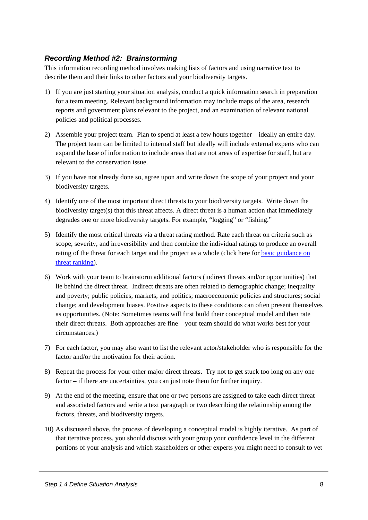## <span id="page-9-0"></span>*Recording Method #2: Brainstorming*

This information recording method involves making lists of factors and using narrative text to describe them and their links to other factors and your biodiversity targets.

- 1) If you are just starting your situation analysis, conduct a quick information search in preparation for a team meeting. Relevant background information may include maps of the area, research reports and government plans relevant to the project, and an examination of relevant national policies and political processes.
- 2) Assemble your project team. Plan to spend at least a few hours together ideally an entire day. The project team can be limited to internal staff but ideally will include external experts who can expand the base of information to include areas that are not areas of expertise for staff, but are relevant to the conservation issue.
- 3) If you have not already done so, agree upon and write down the scope of your project and your biodiversity targets.
- 4) Identify one of the most important direct threats to your biodiversity targets. Write down the biodiversity target(s) that this threat affects. A direct threat is a human action that immediately degrades one or more biodiversity targets. For example, "logging" or "fishing."
- 5) Identify the most critical threats via a threat rating method. Rate each threat on criteria such as scope, severity, and irreversibility and then combine the individual ratings to produce an overall rating of the threat for each target and the project as a whole (click here for [basic guidance on](http://assets.panda.org/downloads/1_4_threat_ranking___july_13__2007.pdf)  [threat ranking](http://assets.panda.org/downloads/1_4_threat_ranking___july_13__2007.pdf)).
- 6) Work with your team to brainstorm additional factors (indirect threats and/or opportunities) that lie behind the direct threat. Indirect threats are often related to demographic change; inequality and poverty; public policies, markets, and politics; macroeconomic policies and structures; social change; and development biases. Positive aspects to these conditions can often present themselves as opportunities. (Note: Sometimes teams will first build their conceptual model and then rate their direct threats. Both approaches are fine – your team should do what works best for your circumstances.)
- 7) For each factor, you may also want to list the relevant actor/stakeholder who is responsible for the factor and/or the motivation for their action.
- 8) Repeat the process for your other major direct threats. Try not to get stuck too long on any one factor – if there are uncertainties, you can just note them for further inquiry.
- 9) At the end of the meeting, ensure that one or two persons are assigned to take each direct threat and associated factors and write a text paragraph or two describing the relationship among the factors, threats, and biodiversity targets.
- 10) As discussed above, the process of developing a conceptual model is highly iterative. As part of that iterative process, you should discuss with your group your confidence level in the different portions of your analysis and which stakeholders or other experts you might need to consult to vet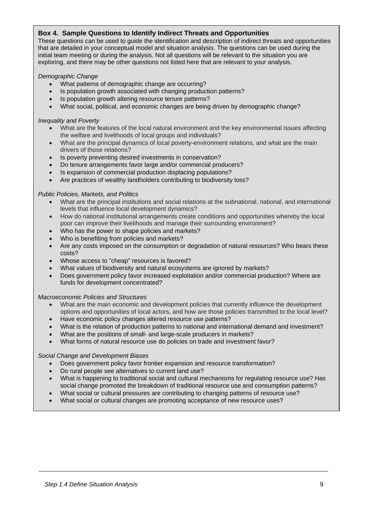#### **Box 4. Sample Questions to Identify Indirect Threats and Opportunities**

inidal team meeting or during the analysis. Not all questions will be relevant to the situation you<br>exploring, and there may be other questions not listed here that are relevant to your analysis. collectively agree on modifications to your model. These questions can be used to guide the identification and description of indirect threats and opportunities that are detailed in your conceptual model and situation analysis. The questions can be used during the initial team meeting or during the analysis. Not all questions will be relevant to the situation you are

#### *Demographic Change*

- What patterns of demographic change are occurring?
- Is population growth associated with changing production patterns?
- Is population growth altering resource tenure patterns?
- What social, political, and economic changes are being driven by demographic change?

#### *Inequality and Poverty*

- What are the features of the local natural environment and the key environmental issues affecting the welfare and livelihoods of local groups and individuals?
- What are the principal dynamics of local poverty-environment relations, and what are the main drivers of those relations?
- Is poverty preventing desired investments in conservation?
- Do tenure arrangements favor large and/or commercial producers?
- Is expansion of commercial production displacing populations?
- Are practices of wealthy landholders contributing to biodiversity loss?

#### *Public Policies, Markets, and Politics*

- What are the principal institutions and social relations at the subnational, national, and international levels that influence local development dynamics?
- How do national institutional arrangements create conditions and opportunities whereby the local poor can improve their livelihoods and manage their surrounding environment?
- Who has the power to shape policies and markets?
- Who is benefiting from policies and markets?
- Are any costs imposed on the consumption or degradation of natural resources? Who bears these costs?
- Whose access to "cheap" resources is favored?
- What values of biodiversity and natural ecosystems are ignored by markets?
- Does government policy favor increased exploitation and/or commercial production? Where are funds for development concentrated?

#### *Macroeconomic Policies and Structures*

- What are the main economic and development policies that currently influence the development options and opportunities of local actors, and how are those policies transmitted to the local level?
- Have economic policy changes altered resource use patterns?
- What is the relation of production patterns to national and international demand and investment?
- What are the positions of small- and large-scale producers in markets?
- What forms of natural resource use do policies on trade and investment favor?

#### *Social Change and Development Biases*

- Does government policy favor frontier expansion and resource transformation?
- Do rural people see alternatives to current land use?
- What is happening to traditional social and cultural mechanisms for regulating resource use? Has social change promoted the breakdown of traditional resource use and consumption patterns?
- What social or cultural pressures are contributing to changing patterns of resource use?
- What social or cultural changes are promoting acceptance of new resource uses?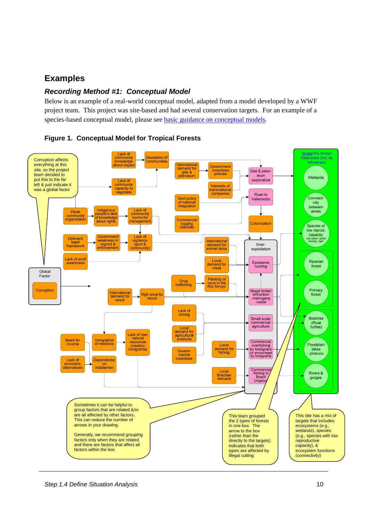# <span id="page-11-0"></span>**Examples**

## *Recording Method #1: Conceptual Model*

Below is an example of a real-world conceptual model, adapted from a model developed by a WWF project team. This project was site-based and had several conservation targets. For an example of a species-based conceptual model, please see [basic guidance on conceptual models](http://assets.panda.org/downloads/1_4_conceptual_model_11_08_05.pdf).

<span id="page-11-1"></span>

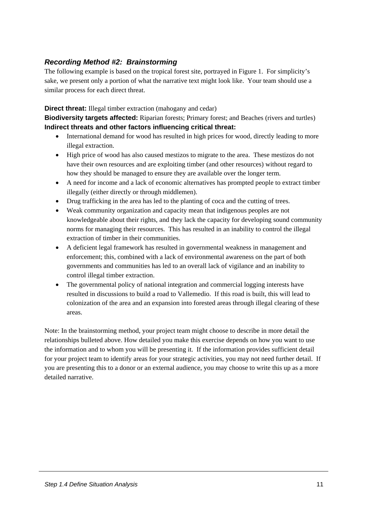## <span id="page-12-0"></span>*Recording Method #2: Brainstorming*

The following example is based on the tropical forest site, portrayed in [Figure 1](#page-11-1). For simplicity's sake, we present only a portion of what the narrative text might look like. Your team should use a similar process for each direct threat.

#### **Direct threat:** Illegal timber extraction (mahogany and cedar)

**Biodiversity targets affected:** Riparian forests; Primary forest; and Beaches (rivers and turtles) **Indirect threats and other factors influencing critical threat:** 

- International demand for wood has resulted in high prices for wood, directly leading to more illegal extraction.
- High price of wood has also caused mestizos to migrate to the area. These mestizos do not have their own resources and are exploiting timber (and other resources) without regard to how they should be managed to ensure they are available over the longer term.
- A need for income and a lack of economic alternatives has prompted people to extract timber illegally (either directly or through middlemen).
- Drug trafficking in the area has led to the planting of coca and the cutting of trees.
- Weak community organization and capacity mean that indigenous peoples are not knowledgeable about their rights, and they lack the capacity for developing sound community norms for managing their resources. This has resulted in an inability to control the illegal extraction of timber in their communities.
- A deficient legal framework has resulted in governmental weakness in management and enforcement; this, combined with a lack of environmental awareness on the part of both governments and communities has led to an overall lack of vigilance and an inability to control illegal timber extraction.
- The governmental policy of national integration and commercial logging interests have resulted in discussions to build a road to Vallemedio. If this road is built, this will lead to colonization of the area and an expansion into forested areas through illegal clearing of these areas.

Note: In the brainstorming method, your project team might choose to describe in more detail the relationships bulleted above. How detailed you make this exercise depends on how you want to use the information and to whom you will be presenting it. If the information provides sufficient detail for your project team to identify areas for your strategic activities, you may not need further detail. If you are presenting this to a donor or an external audience, you may choose to write this up as a more detailed narrative.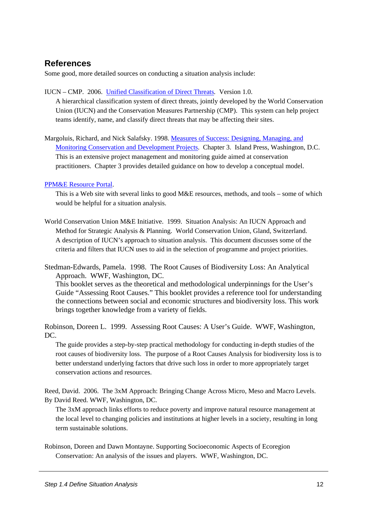# <span id="page-13-0"></span>**References**

Some good, more detailed sources on conducting a situation analysis include:

IUCN – CMP. 2006. [Unified Classification of Direct Threats](http://conservationmeasures.org/CMP/IUCN/Site_Page.cfm)*.* Version 1.0.

A hierarchical classification system of direct threats, jointly developed by the World Conservation Union (IUCN) and the Conservation Measures Partnership (CMP). This system can help project teams identify, name, and classify direct threats that may be affecting their sites.

Margoluis, Richard, and Nick Salafsky. 1998. [Measures of Success: Designing, Managing, and](http://www.islandpress.org/books/detail.html?cart=10572774843379&SKU=1-55963-612-2)  [Monitoring Conservation and Development Projects](http://www.islandpress.org/books/detail.html?cart=10572774843379&SKU=1-55963-612-2). Chapter 3. Island Press, Washington, D.C. This is an extensive project management and monitoring guide aimed at conservation practitioners. Chapter 3 provides detailed guidance on how to develop a conceptual model.

[PPM&E Resource Portal.](http://www.iac.wur.nl/ppme/index.php)

This is a Web site with several links to good M&E resources, methods, and tools – some of which would be helpful for a situation analysis.

World Conservation Union M&E Initiative. 1999. Situation Analysis: An IUCN Approach and Method for Strategic Analysis & Planning. World Conservation Union, Gland, Switzerland. A description of IUCN's approach to situation analysis. This document discusses some of the criteria and filters that IUCN uses to aid in the selection of programme and project priorities.

Stedman-Edwards, Pamela. 1998. The Root Causes of Biodiversity Loss: An Analytical Approach. WWF, Washington, DC.

This booklet serves as the theoretical and methodological underpinnings for the User's Guide "Assessing Root Causes." This booklet provides a reference tool for understanding the connections between social and economic structures and biodiversity loss. This work brings together knowledge from a variety of fields.

Robinson, Doreen L. 1999. Assessing Root Causes: A User's Guide. WWF, Washington, D<sub>C</sub>.

The guide provides a step-by-step practical methodology for conducting in-depth studies of the root causes of biodiversity loss. The purpose of a Root Causes Analysis for biodiversity loss is to better understand underlying factors that drive such loss in order to more appropriately target conservation actions and resources.

Reed, David. 2006. The 3xM Approach: Bringing Change Across Micro, Meso and Macro Levels. By David Reed. WWF, Washington, DC.

The 3xM approach links efforts to reduce poverty and improve natural resource management at the local level to changing policies and institutions at higher levels in a society, resulting in long term sustainable solutions.

Robinson, Doreen and Dawn Montayne. Supporting Socioeconomic Aspects of Ecoregion Conservation: An analysis of the issues and players. WWF, Washington, DC.